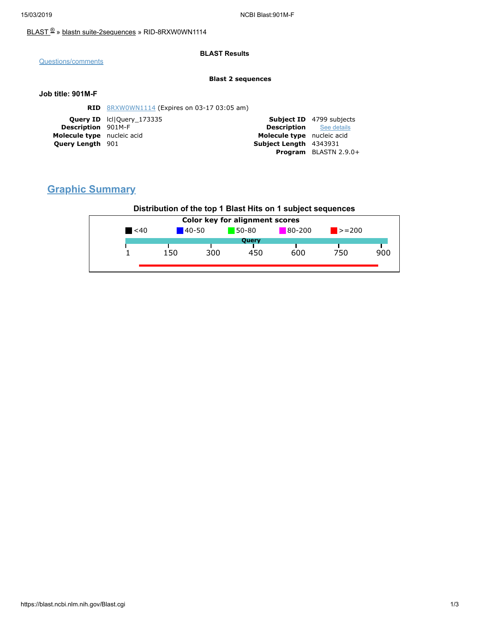### [BLAST](https://blast.ncbi.nlm.nih.gov/Blast.cgi) ® » blastn [suite-2sequences](https://blast.ncbi.nlm.nih.gov/Blast.cgi?PAGE=MegaBlast&PROGRAM=blastn&PAGE_TYPE=BlastSearch&BLAST_SPEC=blast2seq) » RID-8RXW0WN1114

### **BLAST Results**

[Questions/comments](https://support.nlm.nih.gov/support/create-case/)

#### **Blast 2 sequences**

### **Job title: 901M-F**

|                            | <b>RID</b> 8RXW0WN1114 (Expires on 03-17 03:05 am) |                                |                                 |
|----------------------------|----------------------------------------------------|--------------------------------|---------------------------------|
|                            | <b>Query ID</b> Icl Query 173335                   |                                | <b>Subject ID</b> 4799 subjects |
| <b>Description</b> 901M-F  |                                                    | <b>Description</b> See details |                                 |
| Molecule type nucleic acid |                                                    | Molecule type nucleic acid     |                                 |
| <b>Query Length</b> 901    |                                                    | Subject Length 4343931         |                                 |
|                            |                                                    |                                | <b>Program</b> BLASTN 2.9.0+    |

# **Graphic Summary**

## **Distribution of the top 1 Blast Hits on 1 subject sequences**

| <b>Color key for alignment scores</b> |     |            |       |        |             |     |
|---------------------------------------|-----|------------|-------|--------|-------------|-----|
| $\leq 40$                             |     | $140 - 50$ | 50-80 | 80-200 | $\ge$ = 200 |     |
|                                       |     |            | Query |        |             |     |
|                                       | 150 | 300        | 450   | 600    | 750         | 900 |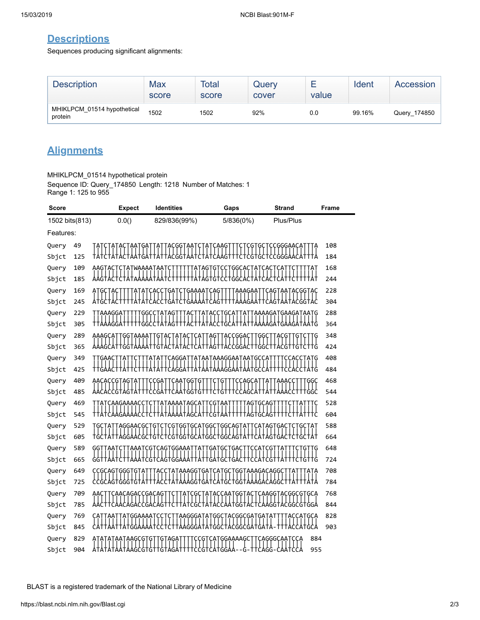# **Descriptions**

Sequences producing significant alignments:

| <b>Description</b>                     | Max<br>score | Total<br>score | Query<br>cover | value | Ident  | Accession    |
|----------------------------------------|--------------|----------------|----------------|-------|--------|--------------|
| MHIKLPCM_01514 hypothetical<br>protein | 1502         | 1502           | 92%            | 0.0   | 99.16% | Query_174850 |

# **Alignments**

MHIKLPCM\_01514 hypothetical protein

Sequence ID: Query\_174850 Length: 1218 Number of Matches: 1 Range 1: 125 to 955

| Score          |            | <b>Expect</b>                              | <b>Identities</b>                      | Gaps                                                     | <b>Strand</b>                                          | Frame      |
|----------------|------------|--------------------------------------------|----------------------------------------|----------------------------------------------------------|--------------------------------------------------------|------------|
| 1502 bits(813) |            | 0.0()                                      | 829/836(99%)                           | 5/836(0%)                                                | Plus/Plus                                              |            |
| Features:      |            |                                            |                                        |                                                          |                                                        |            |
| Query          | 49         |                                            | ϟϚϙϙϯϟϙ                                | Ģ<br>ĢÇ                                                  | CCGGGAACA                                              | 108        |
| Sbjct          | 125        |                                            |                                        | G                                                        | CGGGA                                                  | 184        |
| Query          | 109        | AAGTACTCTATWAAAATAAT                       |                                        | ATAGTGTCCTGGCACTATCACTCAT<br>                            |                                                        | 168        |
| Sbjct          | 185        |                                            |                                        | Ⴕ₳Ⴕ₳₲Ⴕ₲Ⴕ₺₺Ⴕ₲₿ႠႿ₠ႵႿႵ                                      |                                                        | 244        |
| Query          | 169        |                                            | GAAAAT<br>ĢĄ                           | ÇAG<br>aaagaa                                            | CAGT<br>`AATACGG                                       | 228        |
| Sbjct          | 245        |                                            | tatatcacctgatctgaaaatcagtt             |                                                          |                                                        | 304        |
| Query          | 229        | AAAGGA<br>GG                               | Ģ<br>┼┙┼┯┖┖╂╁┥┥                        | TTATACCTGCATTATTA<br>             <br>   ATACCTGCATTATTA | AAAAGATGAAGAT                                          | 288        |
| Sbjct          | 305        |                                            |                                        |                                                          | AGATGAAGAT                                             | 364        |
| Query          | 289        | AAAGCA1<br>GGT                             |                                        | АĢ<br>ACCGGAC                                            |                                                        | 348        |
| Sbjct          | 365        |                                            |                                        | TAGTTACCGGACTTGGCTTACGTT                                 |                                                        | 424        |
| Query          | 349        | TTGAACTTAT                                 | <b>ATAT</b>                            | TCAGGATTATAATAAAGGAATAATGCCATT                           | TCCACCTATG                                             | 408        |
| Sbjct          | 425        |                                            | tatat                                  |                                                          | ctAtĠ                                                  | 484        |
| Query          | 409        | AACACCGTAG                                 | ĢĢ<br>Ģ                                |                                                          | ĢĢÇ                                                    | 468        |
| Sbjct          | 485        |                                            | GGTGTT                                 |                                                          |                                                        | 544        |
| Query          | 469        | CAAGAAAACC                                 | <u>ΑΤΑΑΑΑΤΑ</u> GCA                    | ÇĢ                                                       | ĢÇAG                                                   | 528        |
| Sbjct          | 545        |                                            |                                        |                                                          |                                                        | 604        |
| Query          | 529        | AGGAACGC                                   | န<br>၂<br>tĠtċ                         | TCGTGGTGCATGGCTGGCAGTATT<br>TCGTGGTGCATGGCTGGCAGTATT     | `A6T<br>  <br>ĢĄÇ                                      | 588        |
| Sbjct          | 605        |                                            |                                        |                                                          |                                                        | 664        |
| Query          | 589        | ĢĢ                                         | ҪӒҀҬҀҀӐӐӐ<br>ÇĢT<br>.<br>CGTCAGTGGAAAT | ĢAT<br>TGACTT                                            | CATCGT                                                 | 648<br>724 |
| Sbjct          | 665<br>649 |                                            |                                        | GC<br>TACCTATAAAGGTGATCATGCTGGTAAAGACAGGCT               | TATT<br>TATA                                           | 708        |
| Query<br>Sbjct | 725        | CCGCAGTGGGTGTAT<br><i>cc</i> ccactccctctat |                                        |                                                          | .ctAtAAAddtdAtcAtdctdGtAAAddcAddcttAtttAtA             | 784        |
| Query          | 709        | CAACAGACCGACAG<br>AAC                      |                                        |                                                          |                                                        | 768        |
| Sbjct          | 785        |                                            |                                        | ·ϙϙϯϙϲ                                                   | CAAGGTACGGCGTGCA<br>              <br>CAAGGTACGGCGTGGA | 844        |
| Query          | 769        | GGAAAA                                     | AAGGGAT                                | ΆϚϘϾϘϘϘϘϘϘ<br>ΆI<br>GGC 1                                | GÇA                                                    | 828        |
| Sbjct          | 845        |                                            |                                        |                                                          |                                                        | 903        |
| Query          | 829        | AAGCG                                      | aga<br>Ģ<br>Ģ<br>Ģ                     | CATGGAAAAGC                                              | 884<br>CAGGGCAATCCA                                    |            |
| Sbjct          | 904        |                                            | AGCGTGTTGTAGATTT                       | tccgtcAtggAA                                             | -††cagg-caa†cca<br>955                                 |            |